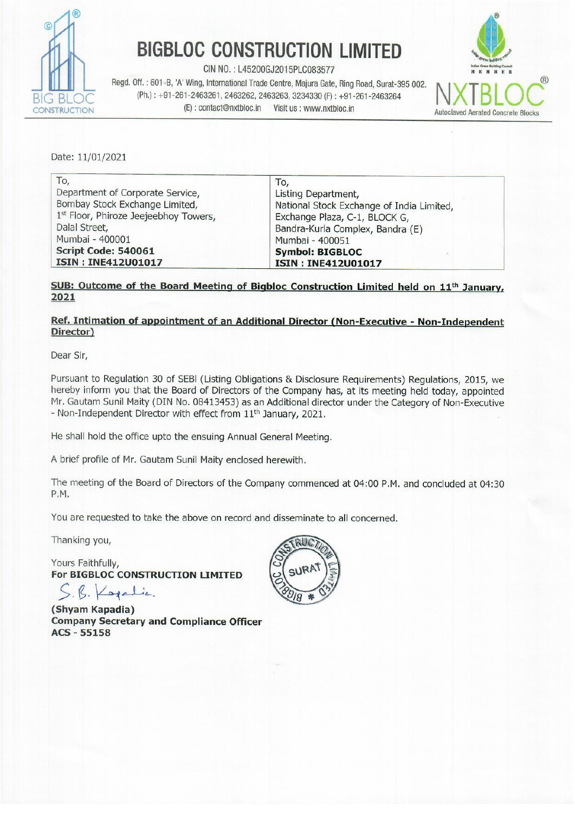

## **BIGBLOC CONSTRUCTION LIMITED**

Regd. Off.: 601-B, 'A' Wing, International Trade Centre, Majura Gate, Ring Road, Surat-395 002. **A IN ATT DUB** BIG BLOC (Ph.) : +91-261-2463261, 2463262, 2463263, 3234330 (F) : +91-261-2463264<br>CONSTRUCTION (E): contact@nxtbloc.in Visit us : www.nxtbloc.in Autoclaved Aerated Concrete Blocks



|                                             | <b>BIGBLOC CONSTRUCTION LIMITED</b>                                                                                                                                                                                                      |                                                                 |
|---------------------------------------------|------------------------------------------------------------------------------------------------------------------------------------------------------------------------------------------------------------------------------------------|-----------------------------------------------------------------|
| (E): contact@nxtbloc.in<br><b>STRUCTION</b> | CIN NO.: L45200GJ2015PLC083577<br>Regd. Off.: 601-B, 'A' Wing, International Trade Centre, Majura Gate, Ring Road, Surat-395 002.<br>(Ph.): +91-261-2463261, 2463262, 2463263, 3234330 (F): +91-261-2463264<br>Visit us : www.nxtbloc.in | Indian Green Building C<br>MRF<br><b>Autoclaved Aerated Con</b> |
|                                             |                                                                                                                                                                                                                                          |                                                                 |

#### SUB: Outcome of the Board Meeting of Bigbloc Construction Limited held on 11<sup>th</sup> Janu 2021

#### Ref. Intimation of appointment of an Additional Director (Non-Executive - Non-Independent Director)

Dear Sir,

pear on<br>
Dentistion 30 of SEBI (Listing Obligation<br>
hereby inform you that the Board of Directors of the<br>
Mr. Gautam Sunil Maity (DIN No. 08413453) as an Ad<br>
- Non-Independent Director with effect from 11<sup>th</sup> Jan<br>
He shall Pursuant to Regulation 30 of SEBI (Listing Obligations & Disclosure Requirements) Regulations, 2015, we hereby inform you that the Board of Directors of the Company has, at its meeting held today, appointed Mr. Gautam Sunil Maity (DIN No. 08413453) as an Additional director under the Category of Non-Executive - Non-Independent Director with effect from 11<sup>th</sup> January, 2021.

He shall hold the office upto the ensuing Annual General Meeting.

A brief profile of Mr. Gautam Sunil Maity enclosed herewith.

The meeting of the Board of Directors of the Company commenced at 04:00 P.M. and concluded at 04:30 P.M.

You are requested to take the above on record and disseminate to all concerned.

Thanking you,

Yours Faithfully, For BIGBLOC CONSTRUCTION LIMITED

B. Kogalic.

(Shyam Kapadia) Company Secretary and Compliance Officer ACS - 55158